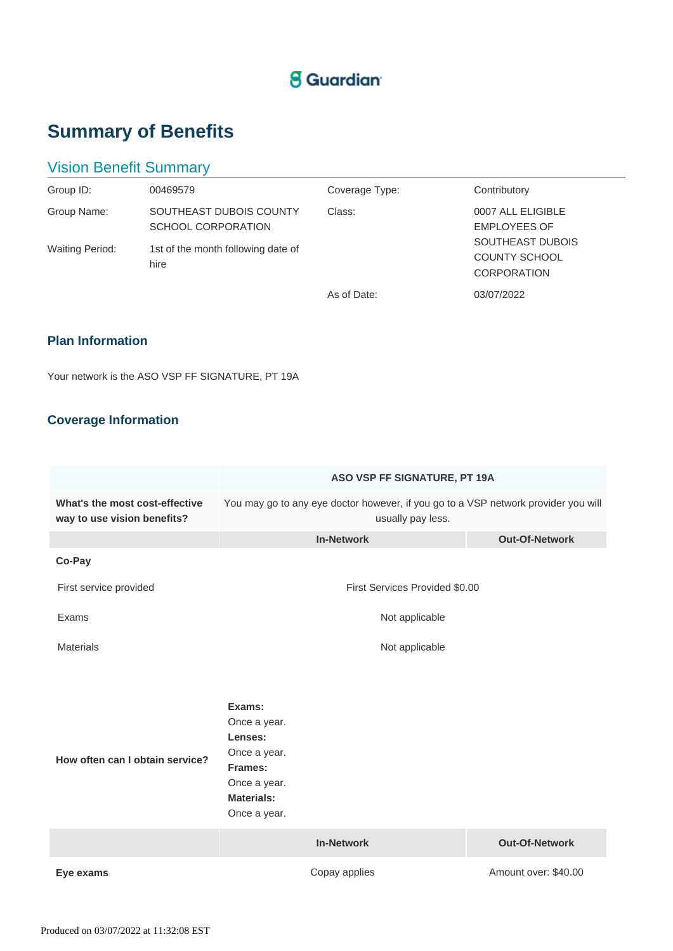## **S** Guardian

# **Summary of Benefits**

## Vision Benefit Summary

| Group ID:              | 00469579                                      | Coverage Type: | Contributory                                                          |
|------------------------|-----------------------------------------------|----------------|-----------------------------------------------------------------------|
| Group Name:            | SOUTHEAST DUBOIS COUNTY<br>SCHOOL CORPORATION | Class:         | 0007 ALL ELIGIBLE<br><b>EMPLOYEES OF</b>                              |
| <b>Waiting Period:</b> | 1st of the month following date of<br>hire    |                | <b>SOUTHEAST DUBOIS</b><br><b>COUNTY SCHOOL</b><br><b>CORPORATION</b> |
|                        |                                               | As of Date:    | 03/07/2022                                                            |

### **Plan Information**

Your network is the ASO VSP FF SIGNATURE, PT 19A

### **Coverage Information**

|                                                               | ASO VSP FF SIGNATURE, PT 19A                                                                                      |                       |  |
|---------------------------------------------------------------|-------------------------------------------------------------------------------------------------------------------|-----------------------|--|
| What's the most cost-effective<br>way to use vision benefits? | You may go to any eye doctor however, if you go to a VSP network provider you will<br>usually pay less.           |                       |  |
|                                                               | <b>In-Network</b>                                                                                                 | <b>Out-Of-Network</b> |  |
| Co-Pay                                                        |                                                                                                                   |                       |  |
| First service provided                                        | First Services Provided \$0.00                                                                                    |                       |  |
| Exams                                                         | Not applicable                                                                                                    |                       |  |
| <b>Materials</b>                                              | Not applicable                                                                                                    |                       |  |
|                                                               |                                                                                                                   |                       |  |
| How often can I obtain service?                               | Exams:<br>Once a year.<br>Lenses:<br>Once a year.<br>Frames:<br>Once a year.<br><b>Materials:</b><br>Once a year. |                       |  |
|                                                               | <b>In-Network</b>                                                                                                 | <b>Out-Of-Network</b> |  |
| Eye exams                                                     | Copay applies                                                                                                     | Amount over: \$40.00  |  |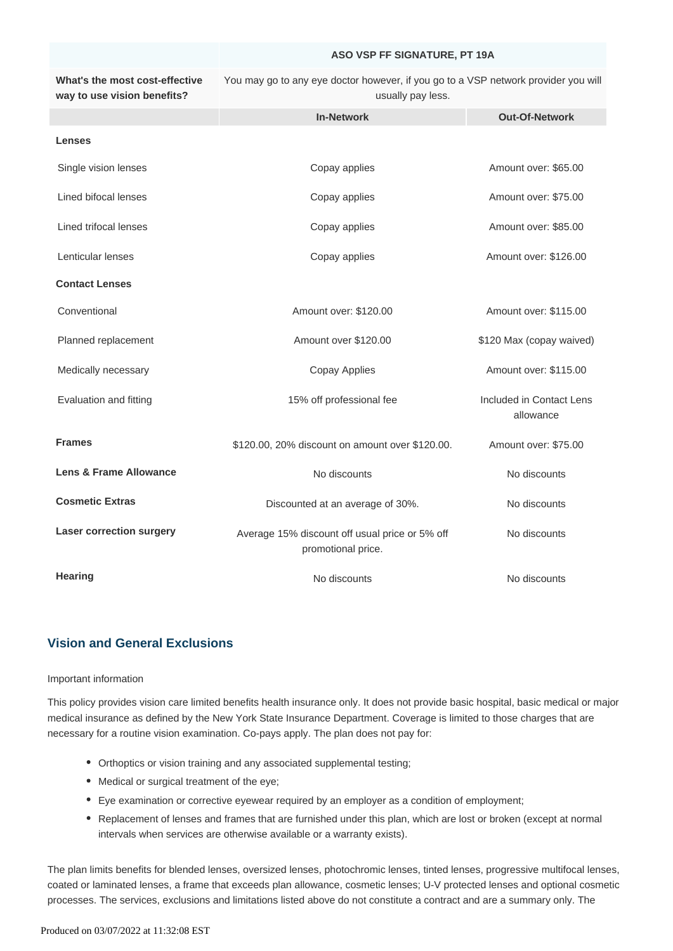#### **ASO VSP FF SIGNATURE, PT 19A**

**What's the most cost-effective way to use vision benefits?** You may go to any eye doctor however, if you go to a VSP network provider you will usually pay less.

|                                 | <b>In-Network</b>                                                    | <b>Out-Of-Network</b>                 |
|---------------------------------|----------------------------------------------------------------------|---------------------------------------|
| <b>Lenses</b>                   |                                                                      |                                       |
| Single vision lenses            | Copay applies                                                        | Amount over: \$65.00                  |
| Lined bifocal lenses            | Copay applies                                                        | Amount over: \$75.00                  |
| Lined trifocal lenses           | Copay applies                                                        | Amount over: \$85.00                  |
| Lenticular lenses               | Copay applies                                                        | Amount over: \$126.00                 |
| <b>Contact Lenses</b>           |                                                                      |                                       |
| Conventional                    | Amount over: \$120.00                                                | Amount over: \$115.00                 |
| Planned replacement             | Amount over \$120.00                                                 | \$120 Max (copay waived)              |
| Medically necessary             | <b>Copay Applies</b>                                                 | Amount over: \$115.00                 |
| Evaluation and fitting          | 15% off professional fee                                             | Included in Contact Lens<br>allowance |
| <b>Frames</b>                   | \$120.00, 20% discount on amount over \$120.00.                      | Amount over: \$75.00                  |
| Lens & Frame Allowance          | No discounts                                                         | No discounts                          |
| <b>Cosmetic Extras</b>          | Discounted at an average of 30%.                                     | No discounts                          |
| <b>Laser correction surgery</b> | Average 15% discount off usual price or 5% off<br>promotional price. | No discounts                          |
| <b>Hearing</b>                  | No discounts                                                         | No discounts                          |

### **Vision and General Exclusions**

#### Important information

This policy provides vision care limited benefits health insurance only. It does not provide basic hospital, basic medical or major medical insurance as defined by the New York State Insurance Department. Coverage is limited to those charges that are necessary for a routine vision examination. Co-pays apply. The plan does not pay for:

- Orthoptics or vision training and any associated supplemental testing;
- Medical or surgical treatment of the eye;
- Eye examination or corrective eyewear required by an employer as a condition of employment;
- Replacement of lenses and frames that are furnished under this plan, which are lost or broken (except at normal intervals when services are otherwise available or a warranty exists).

The plan limits benefits for blended lenses, oversized lenses, photochromic lenses, tinted lenses, progressive multifocal lenses, coated or laminated lenses, a frame that exceeds plan allowance, cosmetic lenses; U-V protected lenses and optional cosmetic processes. The services, exclusions and limitations listed above do not constitute a contract and are a summary only. The